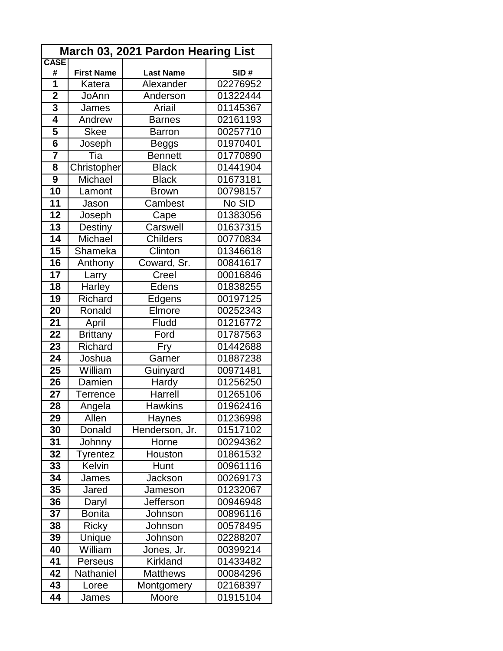| March 03, 2021 Pardon Hearing List |                   |                     |                      |  |  |
|------------------------------------|-------------------|---------------------|----------------------|--|--|
| <b>CASE</b><br>#                   | <b>First Name</b> | <b>Last Name</b>    | SID#                 |  |  |
| 1                                  | Katera            | Alexander           | 02276952             |  |  |
| $\overline{\mathbf{2}}$            | JoAnn             | Anderson            | 01322444             |  |  |
| 3                                  | James             | Ariail              | 01145367             |  |  |
| 4                                  | Andrew            | <b>Barnes</b>       | 02161193             |  |  |
| 5                                  | <b>Skee</b>       | <b>Barron</b>       | 00257710             |  |  |
| $6\phantom{1}$                     | Joseph            | <b>Beggs</b>        | 01970401             |  |  |
| $\overline{\mathbf{7}}$            | Tia               | <b>Bennett</b>      | 01770890             |  |  |
| 8                                  | Christopher       | <b>Black</b>        | 01441904             |  |  |
| $\overline{9}$                     | Michael           | <b>Black</b>        | 01673181             |  |  |
| 10                                 | Lamont            | <b>Brown</b>        | 00798157             |  |  |
| 11                                 | Jason             | Cambest             | No SID               |  |  |
| $\overline{12}$                    | Joseph            | Cape                | 01383056             |  |  |
| 13                                 | Destiny           | Carswell            | 01637315             |  |  |
| 14                                 | Michael           | <b>Childers</b>     | 00770834             |  |  |
| 15                                 | Shameka           | Clinton             | 01346618             |  |  |
| 16                                 | Anthony           | Coward, Sr.         | 00841617             |  |  |
| 17                                 | Larry             | Creel               | 00016846             |  |  |
| 18                                 | Harley            | Edens               | 01838255             |  |  |
| 19                                 | Richard           | Edgens              | 00197125             |  |  |
| 20                                 | Ronald            | Elmore              | 00252343             |  |  |
| 21                                 | April             | <b>Fludd</b>        | 01216772             |  |  |
| 22                                 | <b>Brittany</b>   | Ford                | 01787563             |  |  |
| 23                                 | Richard           | Fry                 | 01442688             |  |  |
| 24                                 | Joshua            | Garner              | 01887238             |  |  |
| 25                                 | William           | Guinyard            | 00971481             |  |  |
| 26                                 | Damien            | Hardy               | 01256250             |  |  |
| 27                                 | Terrence          | Harrell             | 01265106             |  |  |
| 28                                 | Angela            | <b>Hawkins</b>      | 01962416             |  |  |
| 29                                 | Allen             | Haynes              | 01236998             |  |  |
| 30                                 | Donald            | Henderson, Jr.      | 01517102             |  |  |
| 31                                 | Johnny            | <b>Horne</b>        | 00294362             |  |  |
| 32                                 | Tyrentez          | Houston             | 01861532             |  |  |
| 33                                 | Kelvin            | Hunt                | 00961116             |  |  |
| 34                                 | James             | Jackson             | 00269173             |  |  |
| 35                                 | Jared             | Jameson             | 01232067             |  |  |
| 36                                 | Daryl             | Jefferson           | 00946948             |  |  |
| 37                                 | <b>Bonita</b>     | Johnson             | 00896116             |  |  |
| 38                                 | <b>Ricky</b>      | Johnson             | 00578495             |  |  |
| 39                                 | Unique            | Johnson             | 02288207             |  |  |
| 40                                 | William           | Jones, Jr.          | 00399214             |  |  |
| 41                                 | Perseus           | <b>Kirkland</b>     | 01433482             |  |  |
| 42                                 | Nathaniel         | <b>Matthews</b>     | 00084296             |  |  |
| 43<br>44                           | Loree             | Montgomery<br>Moore | 02168397<br>01915104 |  |  |
|                                    | James             |                     |                      |  |  |